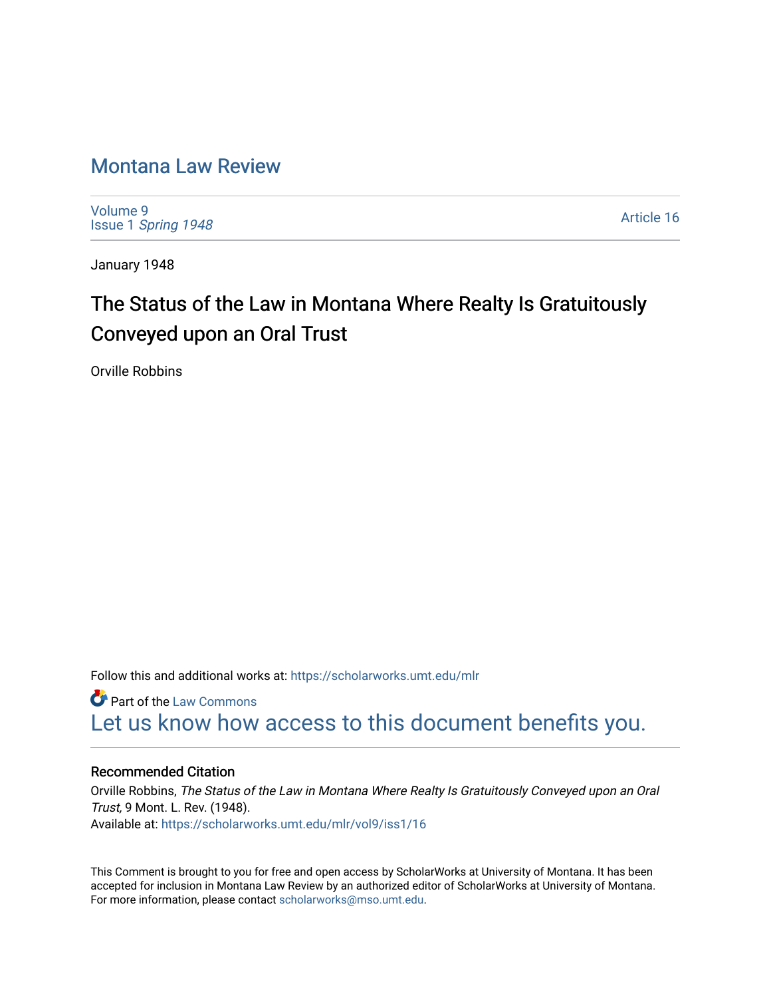### [Montana Law Review](https://scholarworks.umt.edu/mlr)

[Volume 9](https://scholarworks.umt.edu/mlr/vol9) Issue 1 [Spring 1948](https://scholarworks.umt.edu/mlr/vol9/iss1) 

[Article 16](https://scholarworks.umt.edu/mlr/vol9/iss1/16) 

January 1948

## The Status of the Law in Montana Where Realty Is Gratuitously Conveyed upon an Oral Trust

Orville Robbins

Follow this and additional works at: [https://scholarworks.umt.edu/mlr](https://scholarworks.umt.edu/mlr?utm_source=scholarworks.umt.edu%2Fmlr%2Fvol9%2Fiss1%2F16&utm_medium=PDF&utm_campaign=PDFCoverPages) 

**Part of the [Law Commons](http://network.bepress.com/hgg/discipline/578?utm_source=scholarworks.umt.edu%2Fmlr%2Fvol9%2Fiss1%2F16&utm_medium=PDF&utm_campaign=PDFCoverPages)** [Let us know how access to this document benefits you.](https://goo.gl/forms/s2rGfXOLzz71qgsB2) 

#### Recommended Citation

Orville Robbins, The Status of the Law in Montana Where Realty Is Gratuitously Conveyed upon an Oral Trust, 9 Mont. L. Rev. (1948). Available at: [https://scholarworks.umt.edu/mlr/vol9/iss1/16](https://scholarworks.umt.edu/mlr/vol9/iss1/16?utm_source=scholarworks.umt.edu%2Fmlr%2Fvol9%2Fiss1%2F16&utm_medium=PDF&utm_campaign=PDFCoverPages) 

This Comment is brought to you for free and open access by ScholarWorks at University of Montana. It has been accepted for inclusion in Montana Law Review by an authorized editor of ScholarWorks at University of Montana. For more information, please contact [scholarworks@mso.umt.edu.](mailto:scholarworks@mso.umt.edu)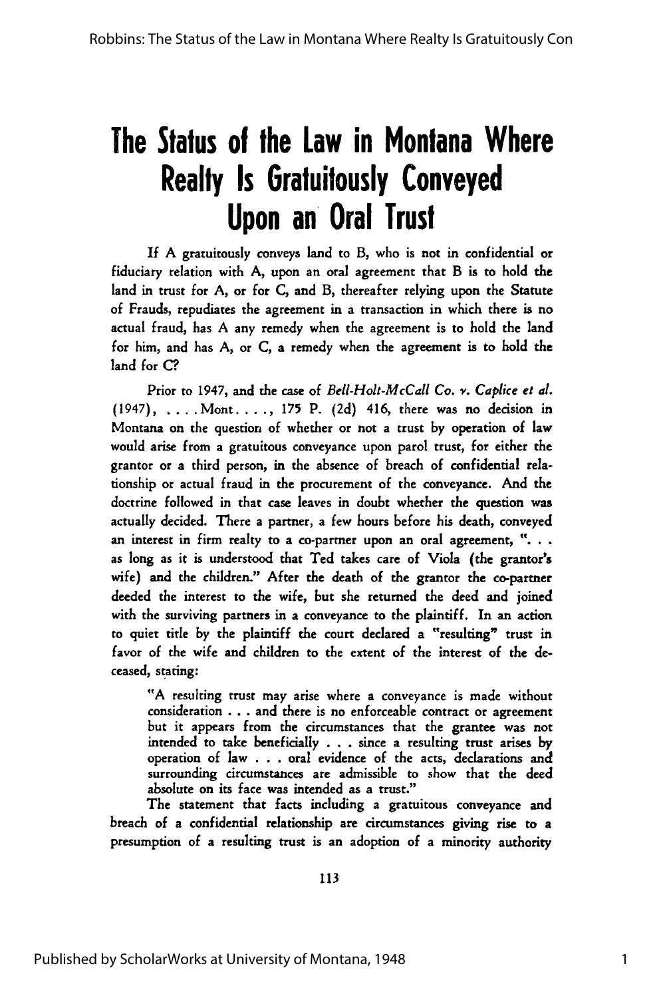# **The Status of the Law in Montana Where Realty Is Gratuitously Conveyed Upon an Oral Trust**

**If** A gratuitously conveys land to B, who is not in confidential or fiduciary relation with A, upon an oral agreement that B is to hold the land in trust for A, or for C, and B, thereafter relying upon the Statute of Frauds, repudiates the agreement in a transaction in which there is no actual fraud, has A any remedy when the agreement is to hold the land for him, and has A, or C, a remedy when the agreement is to hold the land for C?

Prior to 1947, and the case of *Bell-Holt-McCall Co. v. Caplice et al.* (1947) **....** Mont. . **. .,** 175 P. (2d) 416, there was no decision in Montana on the question of whether or not a trust by operation of law would arise from a gratuitous conveyance upon parol trust, for either the grantor or a third person, in the absence of breach of confidential relationship or actual fraud in the procurement of the conveyance. And the doctrine followed in that case leaves in doubt whether the question was actually decided. There a partner, a few hours before his death, conveyed an interest in firm realty to a co-partner upon an oral agreement, **"...** as long as it is understood that Ted takes care of Viola (the grantor's wife) and the children." After the death of the grantor the co-partner deeded the interest to the wife, but she returned the deed and joined with the surviving partners in a conveyance to the plaintiff. In an action to quiet title by the plaintiff the court declared a "resulting" trust in favor of the wife and children to the extent of the interest of the deceased, stating:

"A resulting trust may arise where a conveyance is made without consideration . . **.** and there is no enforceable contract or agreement but it appears from the circumstances that the grantee was not intended to take beneficially . . . since a resulting trust arises by operation of law . . . oral evidence of the acts, declarations and surrounding circumstances are admissible to show that the deed absolute on its face was intended as a trust."

The statement that facts including a gratuitous conveyance and breach of a confidential relationship are circumstances giving rise to a presumption of a resulting trust is an adoption of a minority authority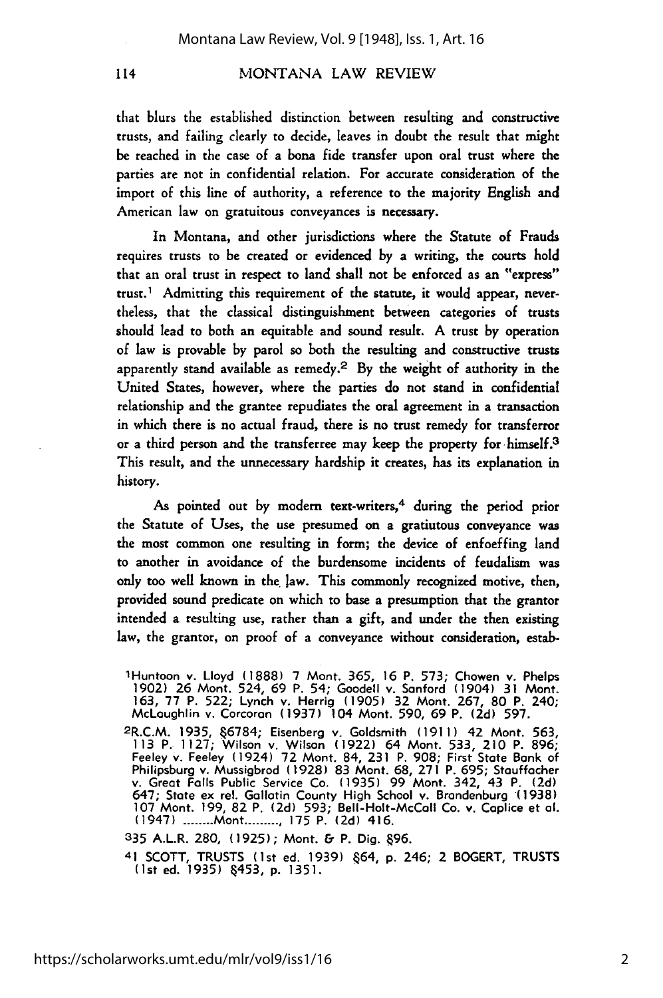#### MONTANA LAW REVIEW

that blurs the established distinction between resulting and constructive trusts, and failing clearly to decide, leaves in doubt the result that might be reached in the case of a bona fide transfer upon oral trust where the parties are not in confidential relation. For accurate consideration of the import of this line of authority, a reference to the majority English and American law on gratuitous conveyances is necessary.

In Montana, and other jurisdictions where the Statute of Frauds requires trusts to be created or evidenced by a writing, the courts hold that an oral trust in respect to land shall not be enforced as an "express" trust.1 Admitting this requirement of the statute, it would appear, nevertheless, that the classical distinguishment between categories of trusts should lead to both an equitable and sound result. A trust by operation of law is provable by parol so both the resulting and constructive trusts apparently stand available as remedy.<sup>2</sup> By the weight of authority in the United States, however, where the parties do not stand in confidential relationship and the grantee repudiates the oral agreement in a transaction in which there is no actual fraud, there is no trust remedy for transferror or a third person and the transferree may keep the property for himself.<sup>3</sup> This result, and the unnecessary hardship it creates, has its explanation in history.

As pointed out by modern text-writers,<sup>4</sup> during the period prior the Statute of Uses, the use presumed on a gratiutous conveyance was the most common one resulting in form; the device of enfoeffing land to another in avoidance of the burdensome incidents of feudalism was only too well known in the law. This commonly recognized motive, then, provided sound predicate on which to base a presumption that the grantor intended a resulting use, rather than a gift, and under the then existing law, the grantor, on proof of a conveyance without consideration, estab-

335 A.L.R. 280, (1925); Mont. & P. Dig. 96.

lHuntoon v. Lloyd (1888) 7 Mont. 365, 16 P. 573; Chowen v. Phelps **1902)** 26 Mont. 524, 69 P. 54; Goodell v. Sanford (1904) 31 Mont. 163, **77** P. 522; Lynch v. Herrig (1905) 32 Mont. 267, 80 P. 240; McLaughlin v. Corcoran **(1937)** 104 Mont. 590, 69 P. **(2d) 597.** 2R.C.M. 1935, **6784;** Eisenberg v. Goldsmith (1911) 42 Mont. 563,

<sup>113</sup> P. **1127;** Wilson v. Wilson (1922) 64 Mont. 533, 210 P. 896; Feeley v. Feeley (1924) **72** Mont. 84, 231 P. 908; First State Bank of Philipsburg v. Mussigbrod (1928) 83 Mont. 68, **271** P. 695; Stauffacher v. Great Falls Public Service Co. (1935) 99 Mont. 342, 43 P. **(2d)** 647; State ex rel. Gallatin County High School v. Brandenburg (1938) **107** Mont. 199, 82 P. **(2d)** 593; Bell-Holt-McCall Co. v. Coplice et **al.** (1947) **........** Mont **.......... 175** P. **(2d)** 416.

<sup>41</sup> SCOTT, TRUSTS (1st ed. 1939) §64, p. 246; 2 BOGERT, TR<mark>USTS</mark><br>(1st ed. 1935)§453, p. 1351.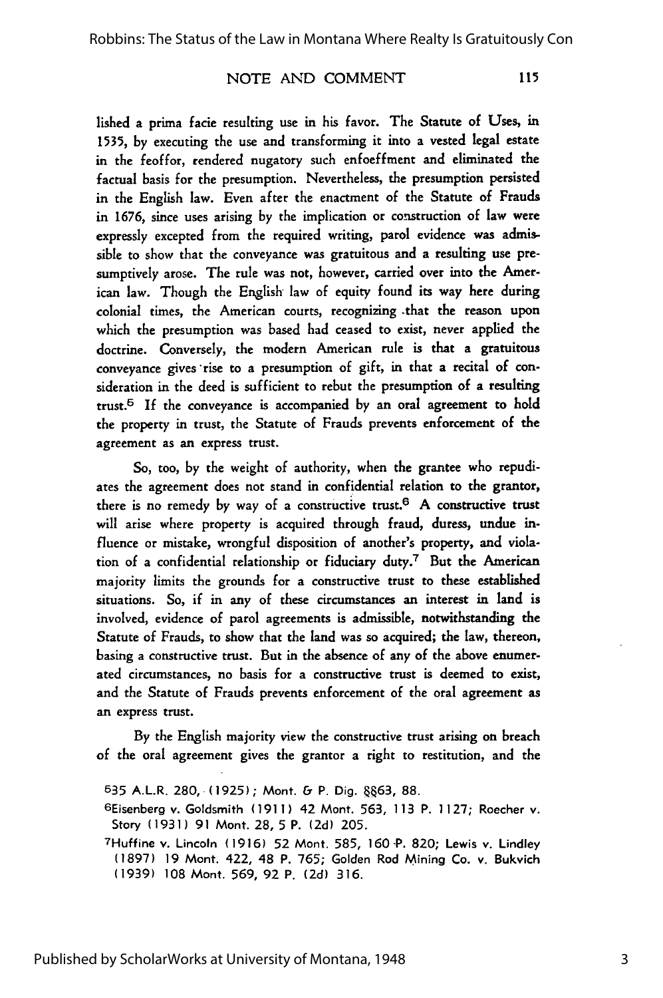#### NOTE AND COMMENT

115

lished a prima facie resulting use in his favor. The Statute of Uses, in 1535, by executing the use and transforming it into a vested legal estate in the feoffor, rendered nugatory such enfoeffment and eliminated the factual basis for the presumption. Nevertheless, the presumption persisted in the English law. Even after the enactment of the Statute of Frauds in 1676, since uses arising by the implication or construction of law were expressly excepted from the required writing, parol evidence was admissible to show that the conveyance was gratuitous and a resulting use presumptively arose. The rule was not, however, carried over into the American law. Though the English law of equity found its way here during colonial times, the American courts, recognizing -that the reason upon which the presumption was based had ceased to exist, never applied the doctrine. Conversely, the modern American rule is that a gratuitous conveyance gives 'rise to a presumption of gift, in that a recital of consideration in the deed is sufficient to rebut the presumption of a resulting trust.5 If the conveyance is accompanied by an oral agreement to hold the property in trust, the Statute of Frauds prevents enforcement of the agreement as an express trust.

**So,** too, by the weight of authority, when the grantee who repudiates the agreement does not stand in confidential relation to the grantor, there is no remedy by way of a constructive trust.<sup>6</sup> A constructive trust will arise where property is acquired through fraud, duress, undue influence or mistake, wrongful disposition of another's property, and violation of a confidential relationship or fiduciary duty.7 But the American majority limits the grounds for a constructive trust to these established situations. So, if in any of these circumstances an interest in land is involved, evidence of parol agreements is admissible, notwithstanding the Statute **of** Frauds, to show that the land was so acquired; the law, thereon, basing a constructive trust. But in the absence of any of the above enumerated circumstances, no basis for a constructive trust is deemed to exist, and the Statute of Frauds prevents enforcement of the oral agreement as an express trust.

By the English majority view the constructive trust arising on breach of the oral agreement gives the grantor a right to restitution, and the

<sup>535</sup> A.L.R. 280, (1925); Mont. & P. Dig. 8863, 88.

<sup>6</sup>Eisenberg v. Goldsmith (1911) 42 Mont. 563, 113 P. 1127; Roecher v. Story (1931) 91 Mont. 28, 5 P. (2d) 205.

<sup>7</sup>Huffine v. Lincoln (1916) 52 Mont. 585, 160 P. 820; Lewis v. Lindley (1897) 19 Mont. 422, 48 P. 765; Golden Rod Mining Co. v. Bukvich (1939) 108 Mont. 569, 92 P. (2d) 316.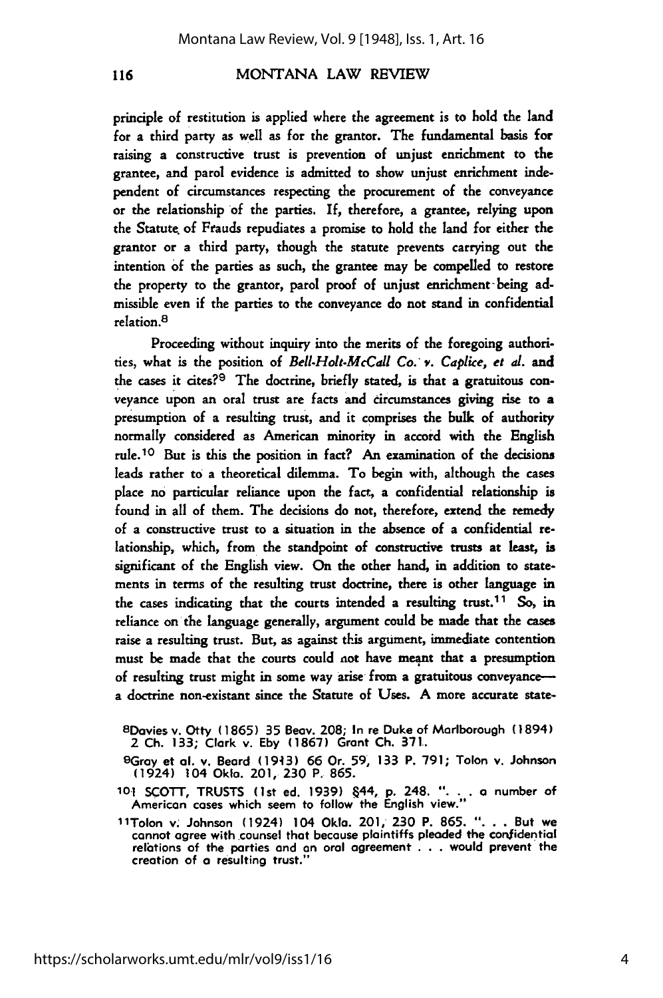#### MONTANA LAW REVIEW

principle of restitution is applied where the agreement is to hold the land for a third party as well as for the grantor. The fundamental basis for raising a constructive trust is prevention of unjust enrichment to the grantee, and parol evidence is admitted to show unjust enrichment independent of circumstances respecting the procurement of the conveyance or the relationship of the parties. If, therefore, a grantee, relying upon the Statute of Frauds repudiates a promise to hold the land for either the grantor or a third party, though the statute prevents carrying out the intention **of** the parties as such, the grantee may be compelled to restore the property to the grantor, parol proof of unjust enrichment- being admissible even if the parties to the conveyance do not stand in confidential relation. <sup>8</sup>

Proceeding without inquiry into the merits of the foregoing authorities, what is the position of *Bell.Holt.McCall Co."* '. *Caplice, et d.* and the cases it cites?9 The doctrine, briefly stated, is that a gratuitous conveyance upon an oral trust are facts and circumstances giving rise to a presumption of a resulting trust, and it comprises the bulk of authority normally considered as American minority in accord with the English rule. 10 But is this the position in fact? An examination of the decisions leads rather to a theoretical dilemma. To begin with, although the cases place no particular reliance upon the fact, a confidential relationship is found in all **of** them. The decisions do not, therefore, extend the remedy of a constructive trust to a situation in the absence of a confidential relationship, which, from the standpoint of constructive trusts at least, is significant of the English view. On the other hand, in addition to statements in terms of the resulting trust doctrine, there is other language in the cases indicating that the courts intended a resulting trust.<sup>11</sup> So, in reliance on the language generally, argument could be made that the cases raise a resulting trust. But, as against this argument, immediate contention must be made that the courts could not have meant that a presumption of resulting trust might in some way arise from a gratuitous conveyancea doctrine non-existant since the Statute of Uses. A more accurate state-

<sup>8</sup> Dovies v. Otty **(1865) 35** Beov. **208; In** re Duke of Marlborough (1894) 2 **Ch. 133;** Clark v. **Eby (1867)** Grant **Ch. 371.**

<sup>9</sup>Gray et **al.** v. Beard **(19413)** 66 Or. **59, 133** P. **791;** Tolon v. Johnson (1924) 104 **Okla.** 201, **230** P. **865.**

**101 SCOTT, TRUSTS** (1st ed. **1939)** .44, **p.** 248. **"... a** number of American cases which seem to follow the English view."

**11Tolon** v. Johnson (1924) 104 **Okla.** 201, **230** P. **865. "...** But we cannot agree with counsel that because plaintiffs pleaded the confidential relations of the parties and an oral agreement **. . .** would prevent the creation of a resulting trust."

116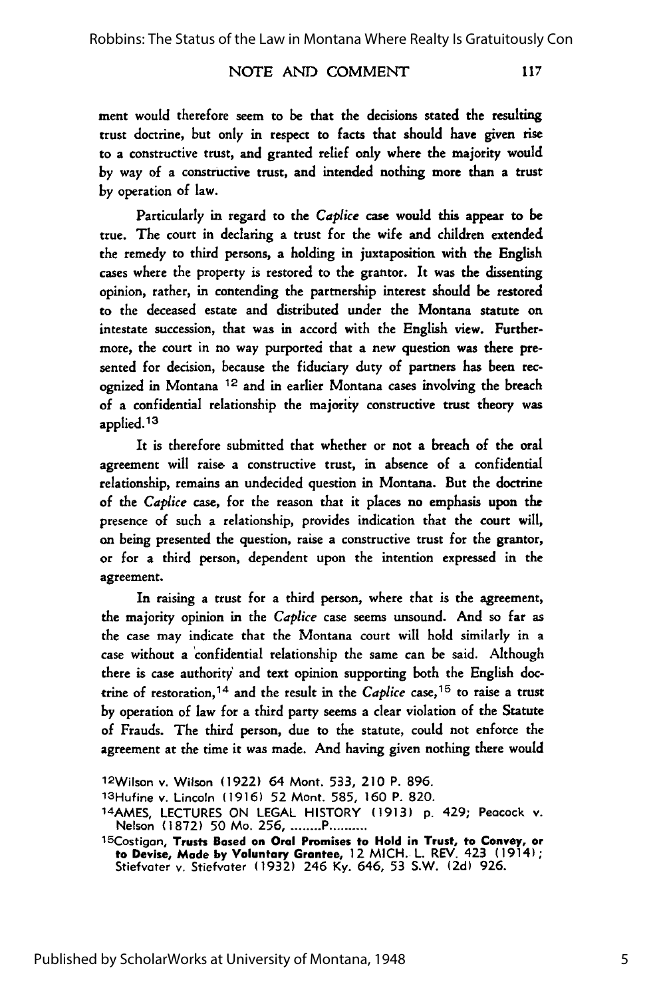#### NOTE AND COMMENT

117

ment would therefore seem to be that the decisions stated the resulting trust doctrine, but only in respect to facts that should have given rise to a constructive trust, and granted relief only where the majority would by way of a constructive trust, and intended nothing more than a trust by operation of law.

Particularly in regard to the *Caplice* case would this appear to be true. The court in declaring a trust for the wife and children extended the remedy to third persons, a holding in juxtaposition with the English cases where the property is restored to the grantor. It was the dissenting opinion, rather, in contending the partnership interest should be restored to the deceased estate and distributed under the Montana statute on intestate succession, that was in accord with the English view. Furthermore, the court in no way purported that a new question was there presented for decision, because the fiduciary duty of partners has been recognized in Montana 12 and in earlier Montana cases involving the breach of a confidential relationship the majority constructive trust theory was applied. <sup>13</sup>

It is therefore submitted that whether or not a breach of the oral agreement will raise a constructive trust, in absence of a confidential relationship, remains an undecided question in Montana. But the doctrine of the *Caplice* case, for the reason that it places no emphasis upon the presence of such a relationship, provides indication that the court will, on being presented the question, raise a constructive trust for the grantor, or for a third person, dependent upon the intention expressed in the agreement.

In raising a trust for a third person, where that is the agreement, the majority opinion in the *Caplice* case seems unsound. And so far as the case may indicate that the Montana court will hold similarly in a case without a 'confidential relationship the same can be said. Although there is case authority and text opinion supporting both the English **doc**trine of restoration, **14** and the result in the *Caplice* case, 15 to raise a trust by operation of law for a third party seems a clear violation of the Statute of Frauds. The third person, due to the statute, could not enforce the agreement at the time it was made. And having given nothing there would

1<sup>2</sup> Wilson v. Wilson **(1922)** 64 Mont. **533,** 210 P. 896.

<sup>13</sup>Hufine v. Lincoln **(1916) 52** Mont. **585, 160** P. **820.** 14AMES, **LECTURES ON LEGAL** HISTORY **(1913) p.** 429; Peacock v. Nelson **(1872) 50** Mo. **256 ......... P ..........** 15Costigon, **Trusts Based on Oral Promises to Hold in Trust, to Convey, or**

**to Devise, Made by Voluntary Grantee,** 12 MICH. L. REV. 423 (1914); Stiefvater **v.** Stiefvater (1932) 246 **Ky.** 646, **53 S.W. (2d) 926.**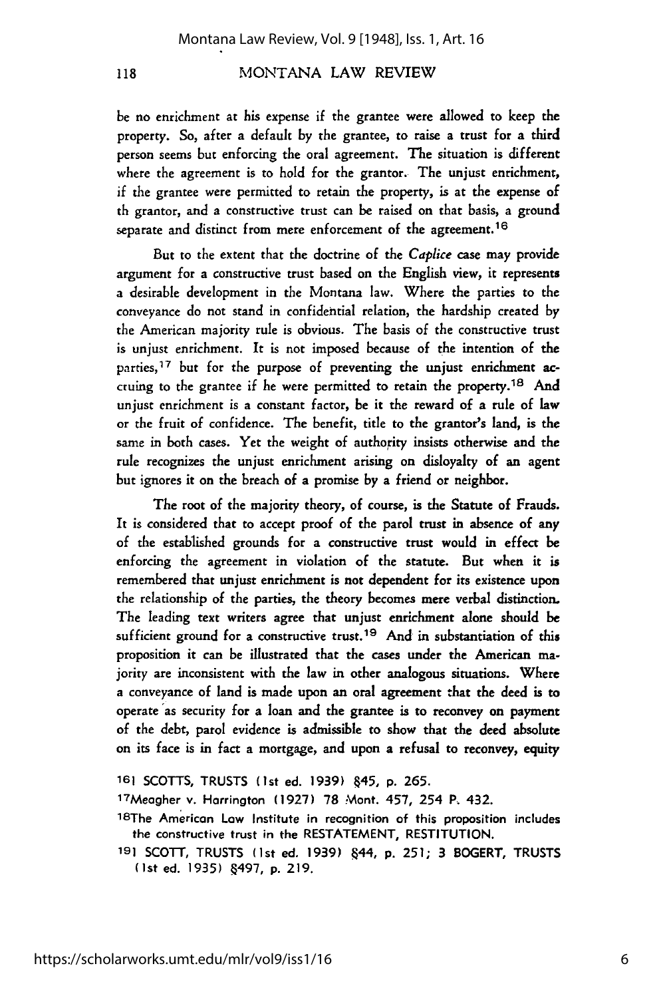#### MONTANA LAW REVIEW

118

be no enrichment at his expense if the grantee were allowed to keep the property. So, after a default by the grantee, to raise a trust for a third person seems but enforcing the oral agreement. The situation is different where the agreement is to hold for the grantor. The unjust enrichment, if the grantee were permitted to retain the property, is at the expense of th grantor, and a constructive trust can be raised on that basis, a ground separate and distinct from mere enforcement of the agreement.<sup>16</sup>

But to the extent that the doctrine of the *Caplice* case may provide argument for a constructive trust based on the English view, it represents a desirable development in the Montana law. Where the parties to the conveyance do not stand in confidential relation, the hardship created by the American majority rule is obvious. The basis of the constructive trust is unjust enrichment. It is not imposed because of the intention of the parties,  $17$  but for the purpose of preventing the unjust enrichment accruing to the grantee if he were permitted to retain the property.18 And unjust enrichment is a constant factor, be it the reward of a rule of law or the fruit of confidence. The benefit, title to the grantor's land, is the same in both cases. Yet the weight of authority insists otherwise and the rule recognizes the unjust enrichment arising on disloyalty of an agent but ignores it on the breach of a promise by a friend or neighbor.

The root of the majority theory, of course, is the Statute of Frauds. It is considered that to accept proof of the parol trust in absence of any of the established grounds for a constructive trust would in effect be enforcing the agreement in violation of the statute. But when it is remembered that unjust enrichment is not dependent for its existence upon the relationship of the parties, the theory becomes mere verbal distinction. The leading text writers agree that unjust enrichment alone should be sufficient ground for a constructive trust.<sup>19</sup> And in substantiation of this proposition it can be illustrated that the cases under the American majority are inconsistent with the law in other analogous situations. Where a conveyance of land is made upon an oral agreement that the deed is to operate as security for a loan and the grantee is to reconvey on payment **of** the debt, parol evidence is admissible to show that the deed absolute on its face is in fact a mortgage, and upon a refusal to reconvey, equity

**161** SCOTTS, **TRUSTS** (1st ed. 1939) 445, **p.** 265.

1 <sup>7</sup> Meogher v. Horrington **(1927)** 78 Mont. 457, 254 P, 432.

18The American Law Institute in recognition of this proposition includes the constructive trust in the **RESTATEMENT, RESTITUTION.**

**191 SCOTT, TRUSTS** (1st ed. **1939)** 444, **p. 251;** 3 BOGERT, **TRUSTS** (1st ed. 1935) §497, p. 219.